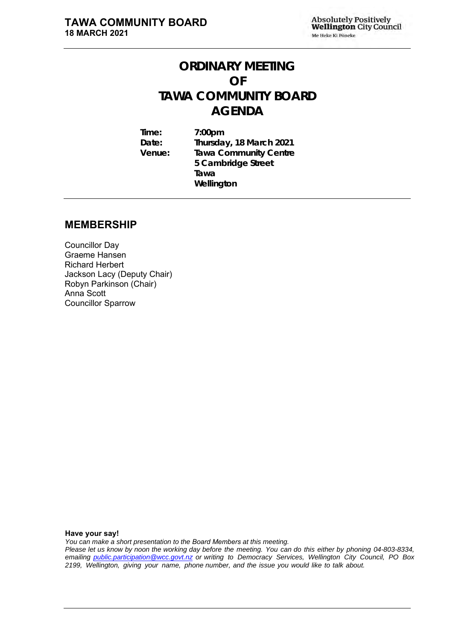# **ORDINARY MEETING OF TAWA COMMUNITY BOARD AGENDA**

**Time: 7:00pm Date: Thursday, 18 March 2021 Venue: Tawa Community Centre 5 Cambridge Street Tawa Wellington**

#### **MEMBERSHIP**

Councillor Day Graeme Hansen Richard Herbert Jackson Lacy (Deputy Chair) Robyn Parkinson (Chair) Anna Scott Councillor Sparrow

**Have your say!** 

*You can make a short presentation to the Board Members at this meeting.* 

*Please let us know by noon the working day before the meeting. You can do this either by phoning 04-803-8334, emailing public.participation@wcc.govt.nz or writing to Democracy Services, Wellington City Council, PO Box 2199, Wellington, giving your name, phone number, and the issue you would like to talk about.*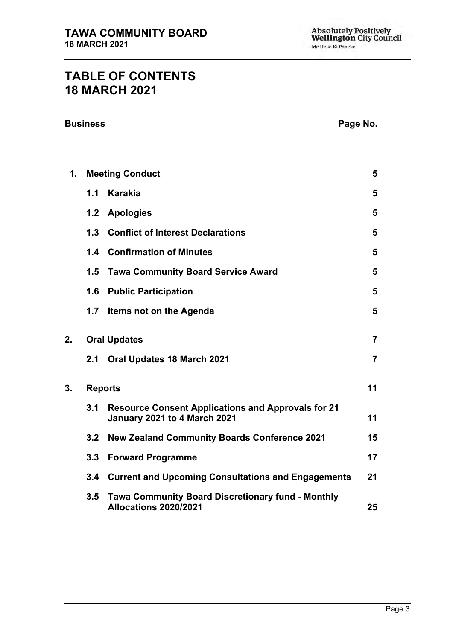# **TABLE OF CONTENTS 18 MARCH 2021**

| <b>Business</b> | Page No. |
|-----------------|----------|
|-----------------|----------|

| Page No. |  |
|----------|--|
|          |  |

| 1. |     | <b>Meeting Conduct</b>                                                                    | 5              |
|----|-----|-------------------------------------------------------------------------------------------|----------------|
|    | 1.1 | <b>Karakia</b>                                                                            | 5              |
|    | 1.2 | <b>Apologies</b>                                                                          | 5              |
|    | 1.3 | <b>Conflict of Interest Declarations</b>                                                  | 5              |
|    |     | 1.4 Confirmation of Minutes                                                               | 5              |
|    | 1.5 | <b>Tawa Community Board Service Award</b>                                                 | 5              |
|    | 1.6 | <b>Public Participation</b>                                                               | 5              |
|    | 1.7 | Items not on the Agenda                                                                   | 5              |
| 2. |     | <b>Oral Updates</b>                                                                       | $\overline{7}$ |
|    | 2.1 | Oral Updates 18 March 2021                                                                | $\overline{7}$ |
| 3. |     | <b>Reports</b>                                                                            | 11             |
|    | 3.1 | <b>Resource Consent Applications and Approvals for 21</b><br>January 2021 to 4 March 2021 | 11             |
|    | 3.2 | <b>New Zealand Community Boards Conference 2021</b>                                       | 15             |
|    | 3.3 | <b>Forward Programme</b>                                                                  | 17             |
|    |     | 3.4 Current and Upcoming Consultations and Engagements                                    | 21             |
|    | 3.5 | <b>Tawa Community Board Discretionary fund - Monthly</b><br>Allocations 2020/2021         | 25             |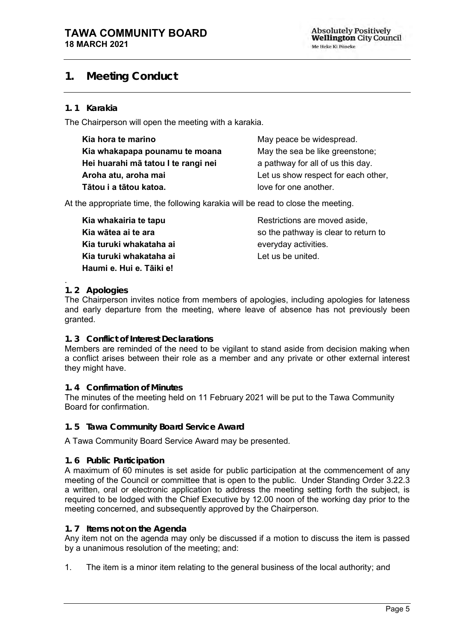## <span id="page-4-0"></span>**1. Meeting Conduct**

#### **1. 1 Karakia**

The Chairperson will open the meeting with a karakia.

| Kia hora te marino                  | May peace be widespread.            |
|-------------------------------------|-------------------------------------|
| Kia whakapapa pounamu te moana      | May the sea be like greenstone;     |
| Hei huarahi mā tatou I te rangi nei | a pathway for all of us this day.   |
| Aroha atu, aroha mai                | Let us show respect for each other, |
| Tātou i a tātou katoa.              | love for one another.               |

At the appropriate time, the following karakia will be read to close the meeting.

**Kia whakairia te tapu Kia wātea ai te ara Kia turuki whakataha ai Kia turuki whakataha ai Haumi e. Hui e. Tāiki e!**

Restrictions are moved aside, so the pathway is clear to return to everyday activities. Let us be united.

#### <span id="page-4-1"></span>. **1. 2 Apologies**

The Chairperson invites notice from members of apologies, including apologies for lateness and early departure from the meeting, where leave of absence has not previously been granted.

#### <span id="page-4-2"></span>**1. 3 Conflict of Interest Declarations**

Members are reminded of the need to be vigilant to stand aside from decision making when a conflict arises between their role as a member and any private or other external interest they might have.

#### <span id="page-4-3"></span>**1. 4 Confirmation of Minutes**

The minutes of the meeting held on 11 February 2021 will be put to the Tawa Community Board for confirmation.

<span id="page-4-4"></span>**1. 5 Tawa Community Board Service Award**

A Tawa Community Board Service Award may be presented.

#### <span id="page-4-6"></span>**1. 6 Public Participation**

A maximum of 60 minutes is set aside for public participation at the commencement of any meeting of the Council or committee that is open to the public. Under Standing Order 3.22.3 a written, oral or electronic application to address the meeting setting forth the subject, is required to be lodged with the Chief Executive by 12.00 noon of the working day prior to the meeting concerned, and subsequently approved by the Chairperson.

#### <span id="page-4-5"></span>**1. 7 Items not on the Agenda**

Any item not on the agenda may only be discussed if a motion to discuss the item is passed by a unanimous resolution of the meeting; and:

1. The item is a minor item relating to the general business of the local authority; and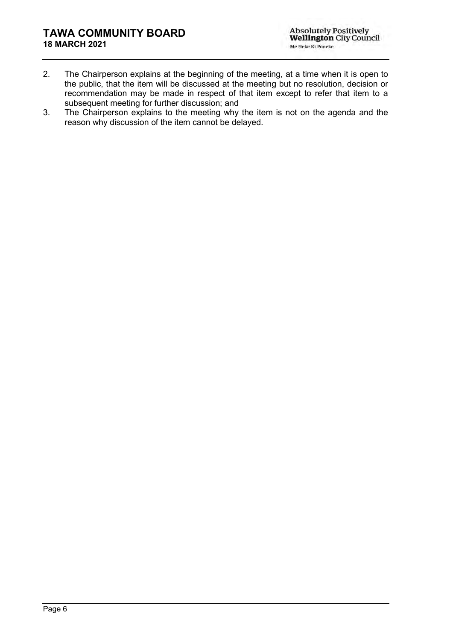- 2. The Chairperson explains at the beginning of the meeting, at a time when it is open to the public, that the item will be discussed at the meeting but no resolution, decision or recommendation may be made in respect of that item except to refer that item to a subsequent meeting for further discussion; and
- 3. The Chairperson explains to the meeting why the item is not on the agenda and the reason why discussion of the item cannot be delayed.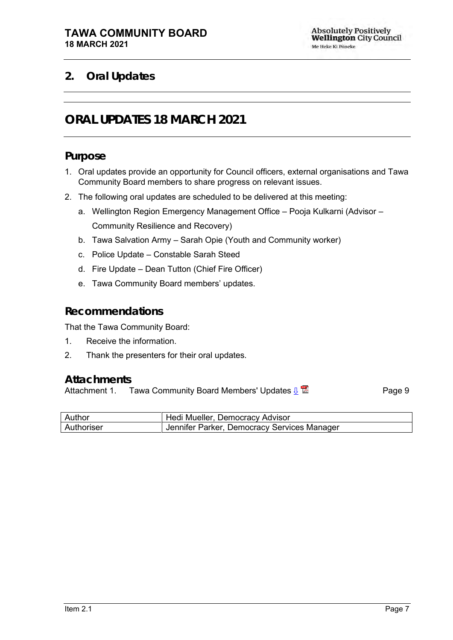## <span id="page-6-1"></span><span id="page-6-0"></span>**2. Oral Updates**

# **ORAL UPDATES 18 MARCH 2021**

### **Purpose**

- 1. Oral updates provide an opportunity for Council officers, external organisations and Tawa Community Board members to share progress on relevant issues.
- 2. The following oral updates are scheduled to be delivered at this meeting:
	- a. Wellington Region Emergency Management Office Pooja Kulkarni (Advisor Community Resilience and Recovery)
	- b. Tawa Salvation Army Sarah Opie (Youth and Community worker)
	- c. Police Update Constable Sarah Steed
	- d. Fire Update Dean Tutton (Chief Fire Officer)
	- e. Tawa Community Board members' updates.

#### **Recommendations**

That the Tawa Community Board:

- 1. Receive the information.
- 2. Thank the presenters for their oral updates.

#### **Attachments**

Attachment 1. Tawa Community Board Members' Updates  $\frac{1}{2}$ 

| Author     | Hedi Mueller, Democracy Advisor             |
|------------|---------------------------------------------|
| Authoriser | Jennifer Parker, Democracy Services Manager |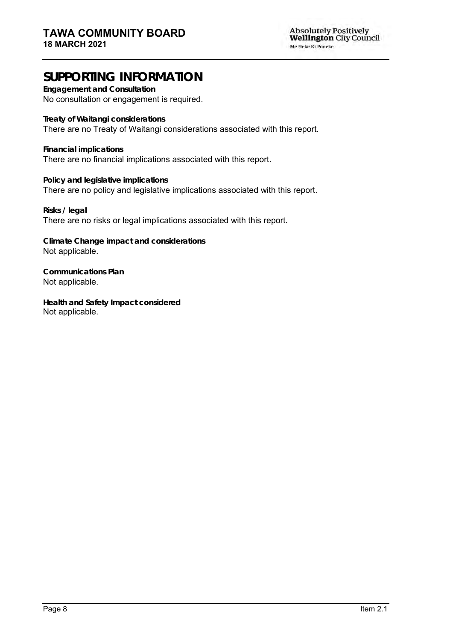**Engagement and Consultation**

No consultation or engagement is required.

**Treaty of Waitangi considerations** There are no Treaty of Waitangi considerations associated with this report.

**Financial implications** There are no financial implications associated with this report.

**Policy and legislative implications** There are no policy and legislative implications associated with this report.

**Risks / legal**  There are no risks or legal implications associated with this report.

**Climate Change impact and considerations** Not applicable.

**Communications Plan** Not applicable.

**Health and Safety Impact considered** Not applicable.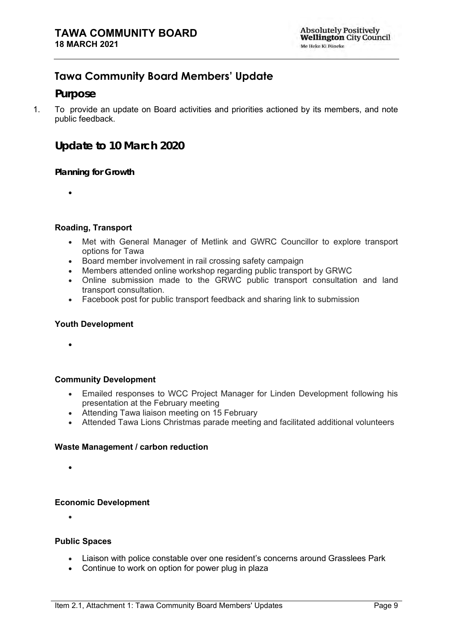## <span id="page-8-0"></span>**Tawa Community Board Members' Update**

#### **Purpose**

1. To provide an update on Board activities and priorities actioned by its members, and note public feedback.

**Update to 10 March 2020**

**Planning for Growth**

•

#### **Roading, Transport**

- Met with General Manager of Metlink and GWRC Councillor to explore transport options for Tawa
- Board member involvement in rail crossing safety campaign
- Members attended online workshop regarding public transport by GRWC
- Online submission made to the GRWC public transport consultation and land transport consultation.
- Facebook post for public transport feedback and sharing link to submission

#### **Youth Development**

•

#### **Community Development**

- Emailed responses to WCC Project Manager for Linden Development following his presentation at the February meeting
- Attending Tawa liaison meeting on 15 February
- Attended Tawa Lions Christmas parade meeting and facilitated additional volunteers

#### **Waste Management / carbon reduction**

•

#### **Economic Development**

•

#### **Public Spaces**

- Liaison with police constable over one resident's concerns around Grasslees Park
- Continue to work on option for power plug in plaza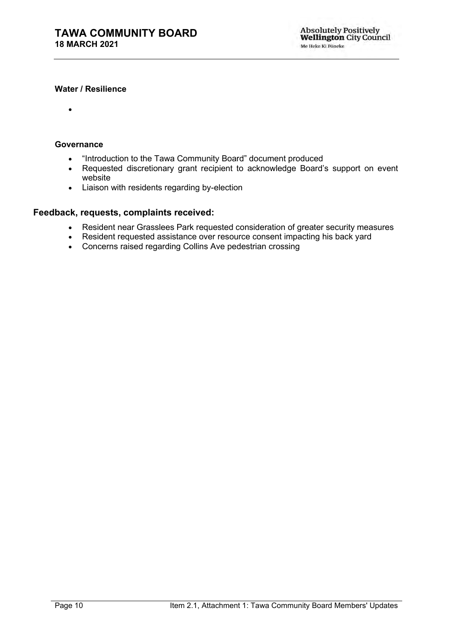#### **Water / Resilience**

•

#### **Governance**

- "Introduction to the Tawa Community Board" document produced
- Requested discretionary grant recipient to acknowledge Board's support on event website
- Liaison with residents regarding by-election

#### **Feedback, requests, complaints received:**

- Resident near Grasslees Park requested consideration of greater security measures
- Resident requested assistance over resource consent impacting his back yard
- Concerns raised regarding Collins Ave pedestrian crossing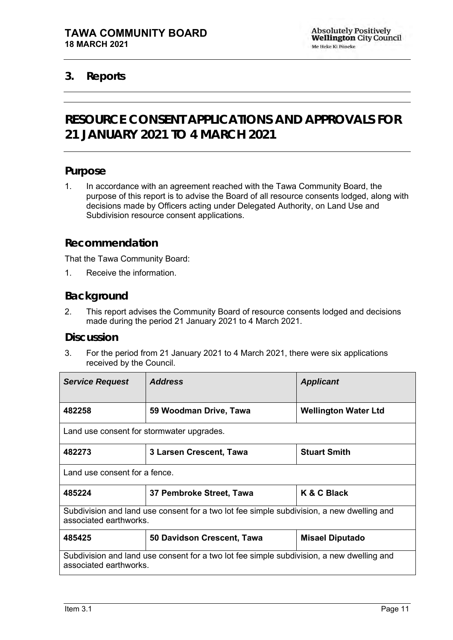### <span id="page-10-1"></span><span id="page-10-0"></span>**3. Reports**

# **RESOURCE CONSENT APPLICATIONS AND APPROVALS FOR 21 JANUARY 2021 TO 4 MARCH 2021**

#### **Purpose**

1. In accordance with an agreement reached with the Tawa Community Board, the purpose of this report is to advise the Board of all resource consents lodged, along with decisions made by Officers acting under Delegated Authority, on Land Use and Subdivision resource consent applications.

#### **Recommendation**

That the Tawa Community Board:

1. Receive the information.

### **Background**

2. This report advises the Community Board of resource consents lodged and decisions made during the period 21 January 2021 to 4 March 2021.

#### **Discussion**

3. For the period from 21 January 2021 to 4 March 2021, there were six applications received by the Council.

| <b>Service Request</b>                                                                                              | <b>Address</b>                                                                            | <b>Applicant</b>       |
|---------------------------------------------------------------------------------------------------------------------|-------------------------------------------------------------------------------------------|------------------------|
| 482258                                                                                                              | <b>Wellington Water Ltd</b><br>59 Woodman Drive, Tawa                                     |                        |
| Land use consent for stormwater upgrades.                                                                           |                                                                                           |                        |
| 482273                                                                                                              | 3 Larsen Crescent, Tawa                                                                   | <b>Stuart Smith</b>    |
| Land use consent for a fence.                                                                                       |                                                                                           |                        |
| 485224                                                                                                              | 37 Pembroke Street, Tawa                                                                  | K & C Black            |
| associated earthworks.                                                                                              | Subdivision and land use consent for a two lot fee simple subdivision, a new dwelling and |                        |
| 485425                                                                                                              | 50 Davidson Crescent, Tawa                                                                | <b>Misael Diputado</b> |
| Subdivision and land use consent for a two lot fee simple subdivision, a new dwelling and<br>associated earthworks. |                                                                                           |                        |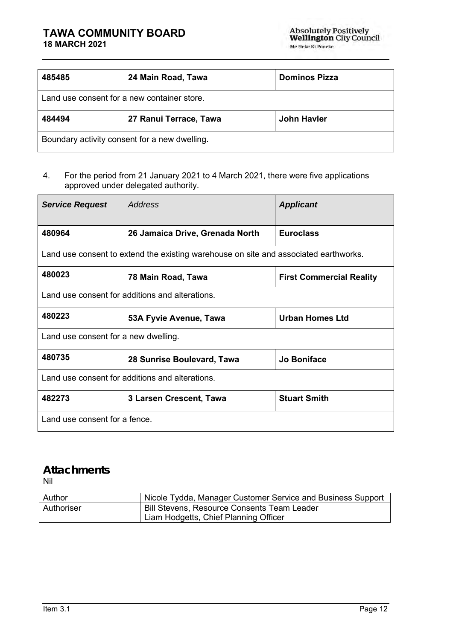| 485485                                      | 24 Main Road, Tawa     | <b>Dominos Pizza</b> |
|---------------------------------------------|------------------------|----------------------|
| Land use consent for a new container store. |                        |                      |
| 484494                                      | 27 Ranui Terrace, Tawa | John Havler          |
|                                             |                        |                      |

#### 4. For the period from 21 January 2021 to 4 March 2021, there were five applications approved under delegated authority.

| <b>Service Request</b>                                                               | <b>Address</b>                                  | <b>Applicant</b>                |
|--------------------------------------------------------------------------------------|-------------------------------------------------|---------------------------------|
| 480964                                                                               | 26 Jamaica Drive, Grenada North                 | <b>Euroclass</b>                |
| Land use consent to extend the existing warehouse on site and associated earthworks. |                                                 |                                 |
| 480023                                                                               | 78 Main Road, Tawa                              | <b>First Commercial Reality</b> |
| Land use consent for additions and alterations.                                      |                                                 |                                 |
| 480223                                                                               | 53A Fyvie Avenue, Tawa                          | <b>Urban Homes Ltd</b>          |
| Land use consent for a new dwelling.                                                 |                                                 |                                 |
| 480735                                                                               | 28 Sunrise Boulevard, Tawa                      | <b>Jo Boniface</b>              |
|                                                                                      | Land use consent for additions and alterations. |                                 |
| 482273                                                                               | 3 Larsen Crescent, Tawa                         | <b>Stuart Smith</b>             |
| Land use consent for a fence.                                                        |                                                 |                                 |

# **Attachments**

| Author     | Nicole Tydda, Manager Customer Service and Business Support |
|------------|-------------------------------------------------------------|
| Authoriser | <b>Bill Stevens, Resource Consents Team Leader</b>          |
|            | Liam Hodgetts, Chief Planning Officer                       |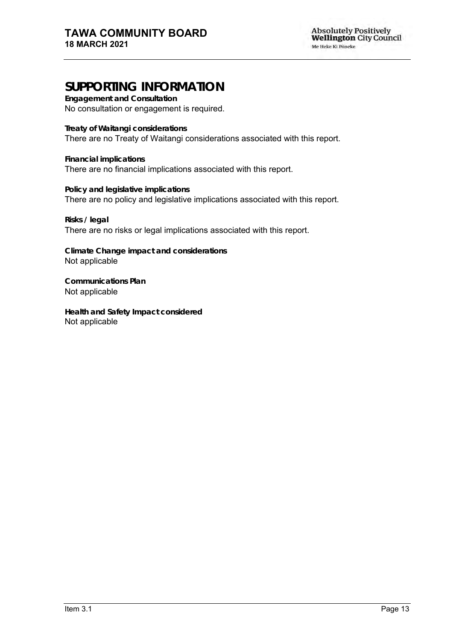**Engagement and Consultation** No consultation or engagement is required.

**Treaty of Waitangi considerations**

There are no Treaty of Waitangi considerations associated with this report.

**Financial implications** There are no financial implications associated with this report.

**Policy and legislative implications** There are no policy and legislative implications associated with this report.

**Risks / legal**  There are no risks or legal implications associated with this report.

**Climate Change impact and considerations** Not applicable

**Communications Plan** Not applicable

**Health and Safety Impact considered** Not applicable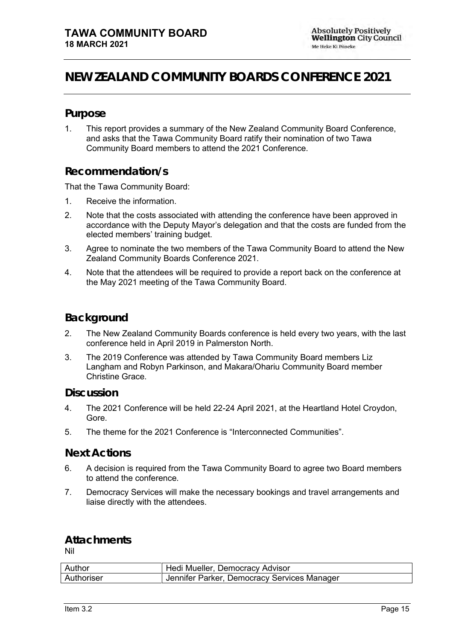# <span id="page-14-0"></span>**NEW ZEALAND COMMUNITY BOARDS CONFERENCE 2021**

#### **Purpose**

1. This report provides a summary of the New Zealand Community Board Conference, and asks that the Tawa Community Board ratify their nomination of two Tawa Community Board members to attend the 2021 Conference.

#### **Recommendation/s**

That the Tawa Community Board:

- 1. Receive the information.
- 2. Note that the costs associated with attending the conference have been approved in accordance with the Deputy Mayor's delegation and that the costs are funded from the elected members' training budget.
- 3. Agree to nominate the two members of the Tawa Community Board to attend the New Zealand Community Boards Conference 2021.
- 4. Note that the attendees will be required to provide a report back on the conference at the May 2021 meeting of the Tawa Community Board.

#### **Background**

- 2. The New Zealand Community Boards conference is held every two years, with the last conference held in April 2019 in Palmerston North.
- 3. The 2019 Conference was attended by Tawa Community Board members Liz Langham and Robyn Parkinson, and Makara/Ohariu Community Board member Christine Grace.

#### **Discussion**

- 4. The 2021 Conference will be held 22-24 April 2021, at the Heartland Hotel Croydon, Gore.
- 5. The theme for the 2021 Conference is "Interconnected Communities".

#### **Next Actions**

- 6. A decision is required from the Tawa Community Board to agree two Board members to attend the conference.
- 7. Democracy Services will make the necessary bookings and travel arrangements and liaise directly with the attendees.

### **Attachments**

Nil

| Author     | Hedi Mueller, Democracy Advisor             |
|------------|---------------------------------------------|
| Authoriser | Jennifer Parker, Democracy Services Manager |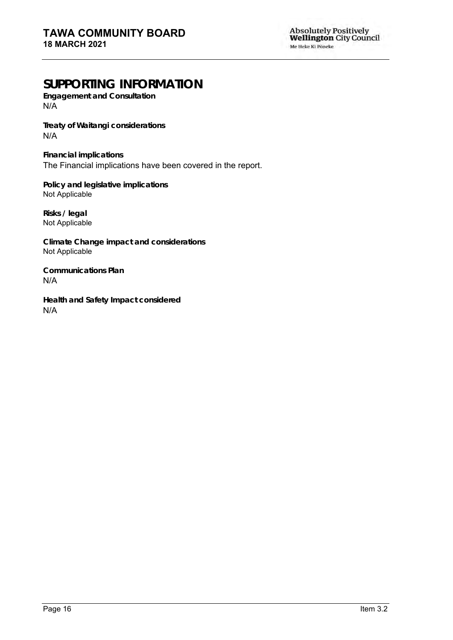**Engagement and Consultation**  $N/A$ 

**Treaty of Waitangi considerations** N/A

**Financial implications** The Financial implications have been covered in the report.

**Policy and legislative implications** Not Applicable

**Risks / legal**  Not Applicable

**Climate Change impact and considerations** Not Applicable

**Communications Plan** N/A

**Health and Safety Impact considered** N/A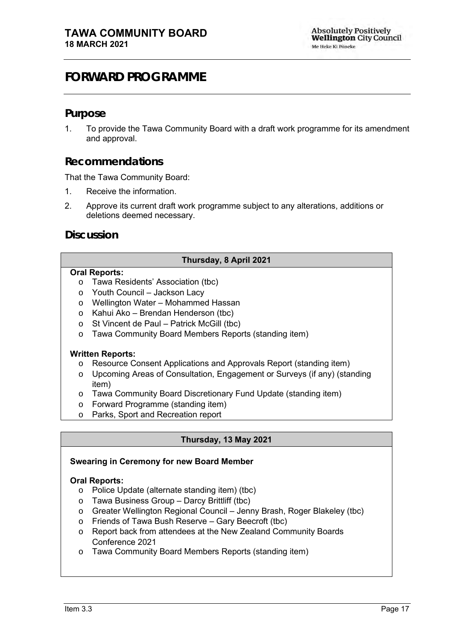# <span id="page-16-0"></span>**FORWARD PROGRAMME**

#### **Purpose**

1. To provide the Tawa Community Board with a draft work programme for its amendment and approval.

#### **Recommendations**

That the Tawa Community Board:

- 1. Receive the information.
- 2. Approve its current draft work programme subject to any alterations, additions or deletions deemed necessary.

**Discussion**

#### **Thursday, 8 April 2021**

#### **Oral Reports:**

- o Tawa Residents' Association (tbc)
- o Youth Council Jackson Lacy
- o Wellington Water Mohammed Hassan
- o Kahui Ako Brendan Henderson (tbc)
- o St Vincent de Paul Patrick McGill (tbc)
- o Tawa Community Board Members Reports (standing item)

#### **Written Reports:**

- o Resource Consent Applications and Approvals Report (standing item)
- o Upcoming Areas of Consultation, Engagement or Surveys (if any) (standing item)
- o Tawa Community Board Discretionary Fund Update (standing item)
- o Forward Programme (standing item)
- o Parks, Sport and Recreation report

#### **Thursday, 13 May 2021**

#### **Swearing in Ceremony for new Board Member**

#### **Oral Reports:**

- o Police Update (alternate standing item) (tbc)
- o Tawa Business Group Darcy Brittliff (tbc)
- o Greater Wellington Regional Council Jenny Brash, Roger Blakeley (tbc)
- o Friends of Tawa Bush Reserve Gary Beecroft (tbc)
- o Report back from attendees at the New Zealand Community Boards Conference 2021
- o Tawa Community Board Members Reports (standing item)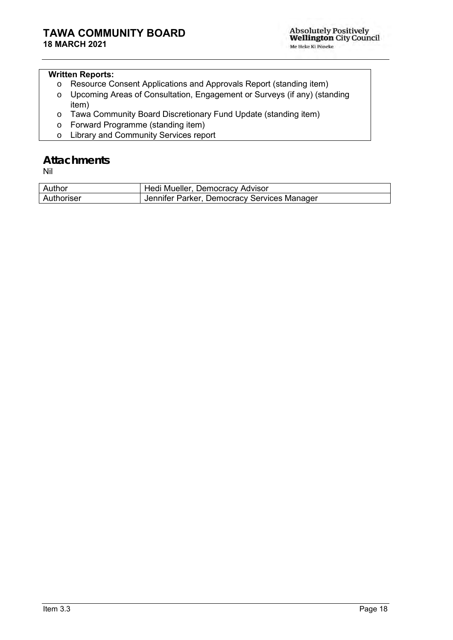#### **Written Reports:**

- o Resource Consent Applications and Approvals Report (standing item)
- o Upcoming Areas of Consultation, Engagement or Surveys (if any) (standing item)
- o Tawa Community Board Discretionary Fund Update (standing item)
- o Forward Programme (standing item)
- o Library and Community Services report

# **Attachments**

Nil

| Author     | Hedi Mueller, Democracy Advisor             |
|------------|---------------------------------------------|
| Authoriser | Jennifer Parker, Democracy Services Manager |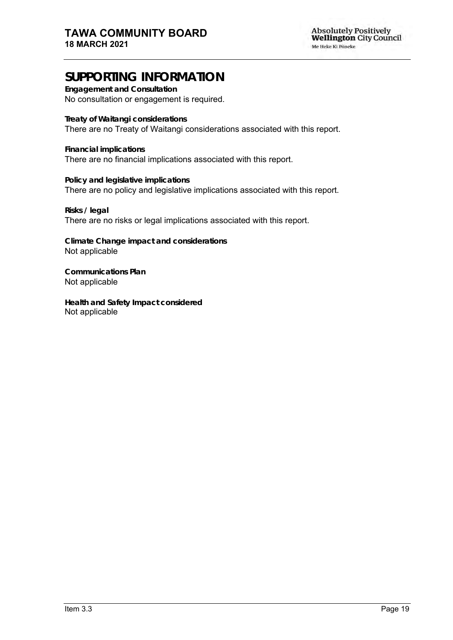**Engagement and Consultation** No consultation or engagement is required.

**Treaty of Waitangi considerations** There are no Treaty of Waitangi considerations associated with this report.

**Financial implications** There are no financial implications associated with this report.

**Policy and legislative implications** There are no policy and legislative implications associated with this report.

**Risks / legal**  There are no risks or legal implications associated with this report.

**Climate Change impact and considerations** Not applicable

**Communications Plan** Not applicable

**Health and Safety Impact considered** Not applicable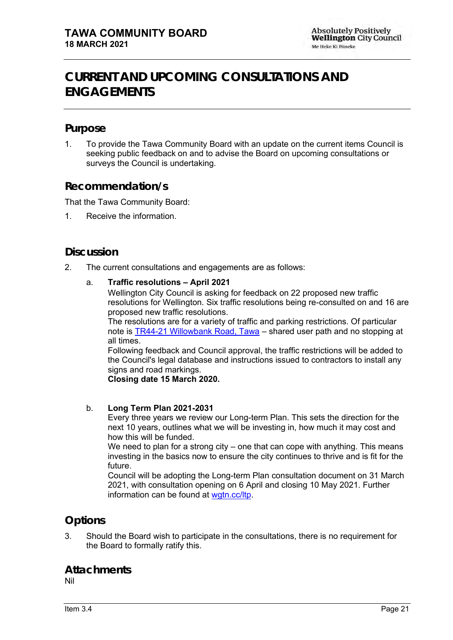# <span id="page-20-0"></span>**CURRENT AND UPCOMING CONSULTATIONS AND ENGAGEMENTS**

### **Purpose**

1. To provide the Tawa Community Board with an update on the current items Council is seeking public feedback on and to advise the Board on upcoming consultations or surveys the Council is undertaking.

### **Recommendation/s**

That the Tawa Community Board:

1. Receive the information.

### **Discussion**

2. The current consultations and engagements are as follows:

#### a. **Traffic resolutions – April 2021**

Wellington City Council is asking for feedback on 22 proposed new traffic resolutions for Wellington. Six traffic resolutions being re-consulted on and 16 are proposed new traffic resolutions.

The resolutions are for a variety of traffic and parking restrictions. Of particular note is [TR44-21 Willowbank Road, Tawa](https://wellington.govt.nz/-/media/have-your-say/public-input/files/consultations/2021/02/traffic-resolutions-april/tr4421willowbankroadtawashareduserpathandnostoppingatalltimes.pdf?la=en&hash=C33E386BE8BA0C4AF6666992D60AB64859CB0686) – shared user path and no stopping at all times.

Following feedback and Council approval, the traffic restrictions will be added to the Council's legal database and instructions issued to contractors to install any signs and road markings.

**Closing date 15 March 2020.**

#### b. **Long Term Plan 2021-2031**

Every three years we review our Long-term Plan. This sets the direction for the next 10 years, outlines what we will be investing in, how much it may cost and how this will be funded.

We need to plan for a strong city – one that can cope with anything. This means investing in the basics now to ensure the city continues to thrive and is fit for the future.

Council will be adopting the Long-term Plan consultation document on 31 March 2021, with consultation opening on 6 April and closing 10 May 2021. Further information can be found at [wgtn.cc/ltp.](https://www.letstalk.wellington.govt.nz/long-term-plan)

### **Options**

3. Should the Board wish to participate in the consultations, there is no requirement for the Board to formally ratify this.

#### **Attachments** Nil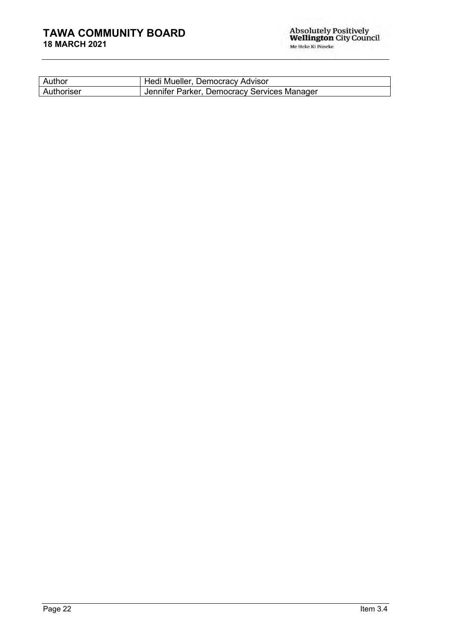### **TAWA COMMUNITY BOARD 18 MARCH 2021**

| Author     | Hedi Mueller, Democracy Advisor             |
|------------|---------------------------------------------|
| Authoriser | Jennifer Parker, Democracy Services Manager |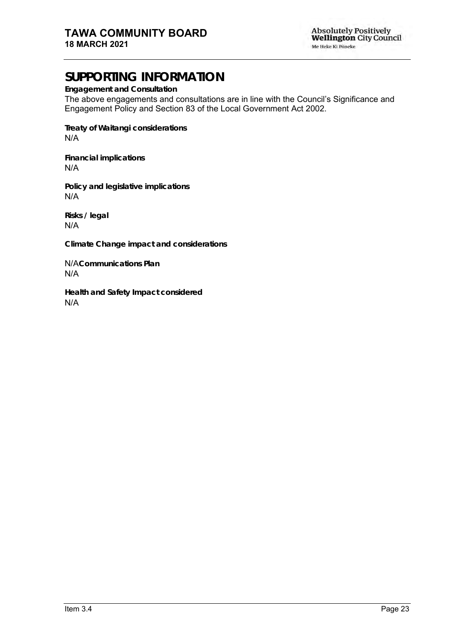**Engagement and Consultation**

The above engagements and consultations are in line with the Council's Significance and Engagement Policy and Section 83 of the Local Government Act 2002.

**Treaty of Waitangi considerations** N/A

**Financial implications** N/A

**Policy and legislative implications** N/A

**Risks / legal**  N/A

**Climate Change impact and considerations**

N/A**Communications Plan** N/A

**Health and Safety Impact considered** N/A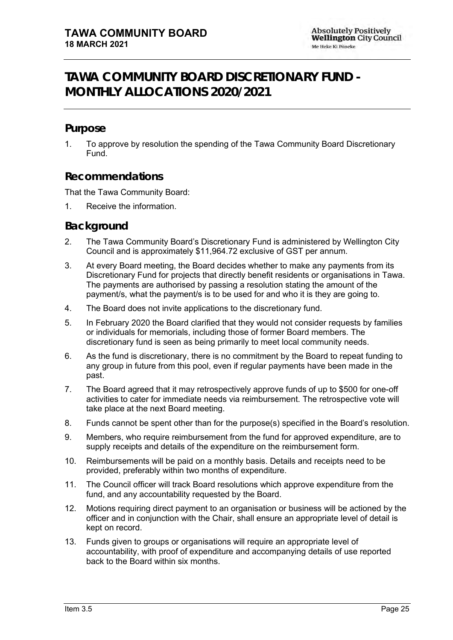# <span id="page-24-0"></span>**TAWA COMMUNITY BOARD DISCRETIONARY FUND - MONTHLY ALLOCATIONS 2020/2021**

### **Purpose**

1. To approve by resolution the spending of the Tawa Community Board Discretionary Fund.

### **Recommendations**

That the Tawa Community Board:

1. Receive the information.

#### **Background**

- 2. The Tawa Community Board's Discretionary Fund is administered by Wellington City Council and is approximately \$11,964.72 exclusive of GST per annum.
- 3. At every Board meeting, the Board decides whether to make any payments from its Discretionary Fund for projects that directly benefit residents or organisations in Tawa. The payments are authorised by passing a resolution stating the amount of the payment/s, what the payment/s is to be used for and who it is they are going to.
- 4. The Board does not invite applications to the discretionary fund.
- 5. In February 2020 the Board clarified that they would not consider requests by families or individuals for memorials, including those of former Board members. The discretionary fund is seen as being primarily to meet local community needs.
- 6. As the fund is discretionary, there is no commitment by the Board to repeat funding to any group in future from this pool, even if regular payments have been made in the past.
- 7. The Board agreed that it may retrospectively approve funds of up to \$500 for one-off activities to cater for immediate needs via reimbursement. The retrospective vote will take place at the next Board meeting.
- 8. Funds cannot be spent other than for the purpose(s) specified in the Board's resolution.
- 9. Members, who require reimbursement from the fund for approved expenditure, are to supply receipts and details of the expenditure on the reimbursement form.
- 10. Reimbursements will be paid on a monthly basis. Details and receipts need to be provided, preferably within two months of expenditure.
- 11. The Council officer will track Board resolutions which approve expenditure from the fund, and any accountability requested by the Board.
- 12. Motions requiring direct payment to an organisation or business will be actioned by the officer and in conjunction with the Chair, shall ensure an appropriate level of detail is kept on record.
- 13. Funds given to groups or organisations will require an appropriate level of accountability, with proof of expenditure and accompanying details of use reported back to the Board within six months.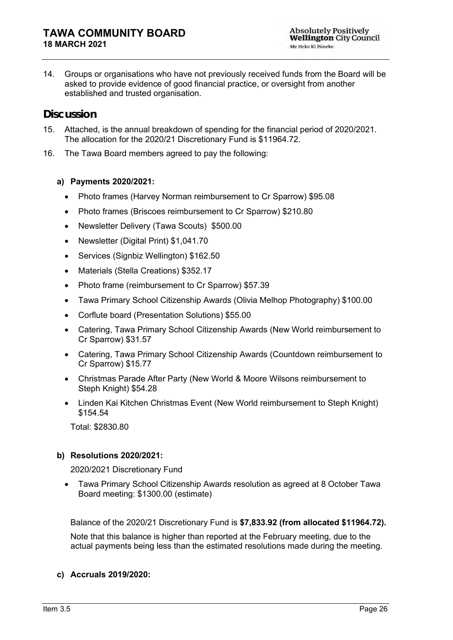14. Groups or organisations who have not previously received funds from the Board will be asked to provide evidence of good financial practice, or oversight from another established and trusted organisation.

### **Discussion**

- 15. Attached, is the annual breakdown of spending for the financial period of 2020/2021. The allocation for the 2020/21 Discretionary Fund is \$11964.72.
- 16. The Tawa Board members agreed to pay the following:

#### **a) Payments 2020/2021:**

- Photo frames (Harvey Norman reimbursement to Cr Sparrow) \$95.08
- Photo frames (Briscoes reimbursement to Cr Sparrow) \$210.80
- Newsletter Delivery (Tawa Scouts) \$500.00
- Newsletter (Digital Print) \$1,041.70
- Services (Signbiz Wellington) \$162.50
- Materials (Stella Creations) \$352.17
- Photo frame (reimbursement to Cr Sparrow) \$57.39
- Tawa Primary School Citizenship Awards (Olivia Melhop Photography) \$100.00
- Corflute board (Presentation Solutions) \$55.00
- Catering, Tawa Primary School Citizenship Awards (New World reimbursement to Cr Sparrow) \$31.57
- Catering, Tawa Primary School Citizenship Awards (Countdown reimbursement to Cr Sparrow) \$15.77
- Christmas Parade After Party (New World & Moore Wilsons reimbursement to Steph Knight) \$54.28
- Linden Kai Kitchen Christmas Event (New World reimbursement to Steph Knight) \$154.54

Total: \$2830.80

#### **b) Resolutions 2020/2021:**

2020/2021 Discretionary Fund

• Tawa Primary School Citizenship Awards resolution as agreed at 8 October Tawa Board meeting: \$1300.00 (estimate)

Balance of the 2020/21 Discretionary Fund is **\$7,833.92 (from allocated \$11964.72).**  Note that this balance is higher than reported at the February meeting, due to the actual payments being less than the estimated resolutions made during the meeting.

#### **c) Accruals 2019/2020:**